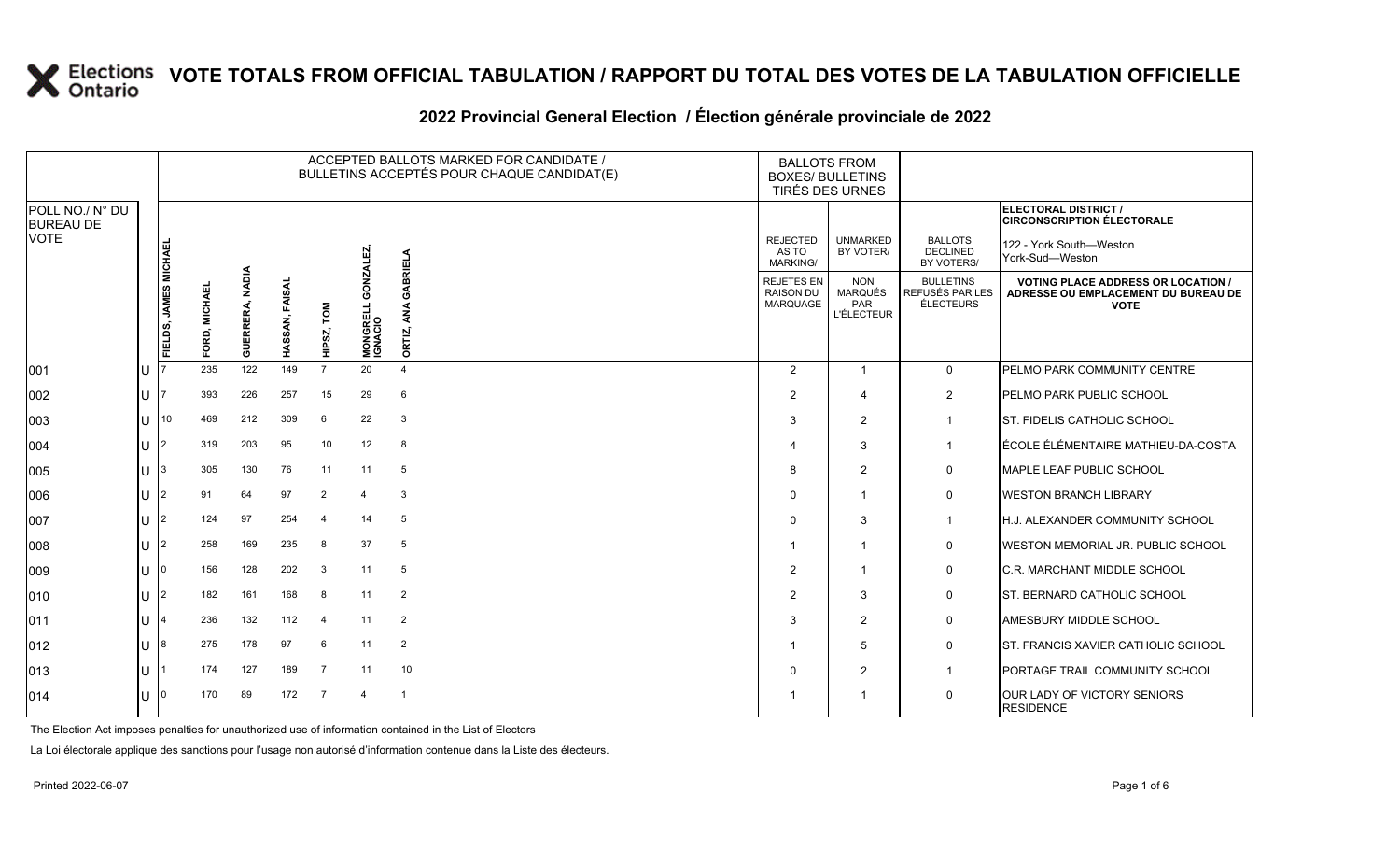|                                     |     |                       |                           |                 |                   |                |                                    | ACCEPTED BALLOTS MARKED FOR CANDIDATE /<br>BULLETINS ACCEPTÉS POUR CHAQUE CANDIDAT(E) | <b>BALLOTS FROM</b><br><b>BOXES/ BULLETINS</b><br>TIRÉS DES URNES |                                                          |                                                         |                                                                                                 |
|-------------------------------------|-----|-----------------------|---------------------------|-----------------|-------------------|----------------|------------------------------------|---------------------------------------------------------------------------------------|-------------------------------------------------------------------|----------------------------------------------------------|---------------------------------------------------------|-------------------------------------------------------------------------------------------------|
| POLL NO./ N° DU<br><b>BUREAU DE</b> |     |                       |                           |                 |                   |                |                                    |                                                                                       |                                                                   |                                                          |                                                         | ELECTORAL DISTRICT /<br><b>CIRCONSCRIPTION ÉLECTORALE</b>                                       |
| VOTE                                |     |                       |                           |                 |                   |                | 면                                  |                                                                                       | <b>REJECTED</b><br>AS TO<br><b>MARKING/</b>                       | <b>UNMARKED</b><br>BY VOTER/                             | <b>BALLOTS</b><br><b>DECLINED</b><br>BY VOTERS/         | 122 - York South-Weston<br>York-Sud-Weston                                                      |
|                                     |     | FIELDS, JAMES MICHAEI | 画<br><b>MICHAE</b><br>FOR | GUERRERA, NADIA | FAISAL<br>HASSAN, | HIPSZ, TOM     | δg<br><b>MONGRELL 0</b><br>IGNACIO | GABRIELA<br>इ<br>ORTIZ,                                                               | <b>REJETÉS EN</b><br><b>RAISON DU</b><br>MARQUAGE                 | <b>NON</b><br><b>MARQUÉS</b><br>PAR<br><b>L'ÉLECTEUR</b> | <b>BULLETINS</b><br><b>REFUSÉS PAR LES</b><br>ÉLECTEURS | <b>VOTING PLACE ADDRESS OR LOCATION /</b><br>ADRESSE OU EMPLACEMENT DU BUREAU DE<br><b>VOTE</b> |
| 001                                 | ΙU  |                       | 235                       | 122             | 149               | $\overline{7}$ | 20                                 | $\overline{4}$                                                                        | $\overline{2}$                                                    | $\mathbf{1}$                                             | $\mathbf 0$                                             | PELMO PARK COMMUNITY CENTRE                                                                     |
| 002                                 | U   |                       | 393                       | 226             | 257               | 15             | 29                                 | 6                                                                                     | 2                                                                 | $\overline{4}$                                           | $\overline{2}$                                          | <b>IPELMO PARK PUBLIC SCHOOL</b>                                                                |
| 003                                 | ΙUΓ | $\vert$ 10            | 469                       | 212             | 309               | 6              | 22                                 | $\mathbf{3}$                                                                          | 3                                                                 | $\mathbf{2}$                                             | $\overline{1}$                                          | <b>ST. FIDELIS CATHOLIC SCHOOL</b>                                                              |
| 004                                 | ПT  | 12                    | 319                       | 203             | 95                | 10             | 12                                 | 8                                                                                     |                                                                   | 3                                                        | -1                                                      | ÉCOLE ÉLÉMENTAIRE MATHIEU-DA-COSTA                                                              |
| 005                                 | U   | 13                    | 305                       | 130             | 76                | 11             | 11                                 | 5                                                                                     | 8                                                                 | $\overline{2}$                                           | 0                                                       | <b>IMAPLE LEAF PUBLIC SCHOOL</b>                                                                |
| 006                                 | U   | 12                    | 91                        | 64              | 97                | $\overline{2}$ | 4                                  | 3                                                                                     |                                                                   | 1                                                        | 0                                                       | <b>WESTON BRANCH LIBRARY</b>                                                                    |
| 007                                 | IU  | 12                    | 124                       | 97              | 254               | $\overline{4}$ | 14                                 | 5                                                                                     |                                                                   | 3                                                        | -1                                                      | H.J. ALEXANDER COMMUNITY SCHOOL                                                                 |
| 008                                 | U   | 12                    | 258                       | 169             | 235               | 8              | 37                                 | 5                                                                                     |                                                                   | $\overline{1}$                                           | 0                                                       | IWESTON MEMORIAL JR. PUBLIC SCHOOL                                                              |
| 009                                 | U   | I0.                   | 156                       | 128             | 202               | 3              | 11                                 | 5                                                                                     | 2                                                                 | 1                                                        | 0                                                       | <b>IC.R. MARCHANT MIDDLE SCHOOL</b>                                                             |
| 010                                 | IU  | $\mathsf{I}2$         | 182                       | 161             | 168               | 8              | 11                                 | $\overline{2}$                                                                        | 2                                                                 | 3                                                        | 0                                                       | <b>IST. BERNARD CATHOLIC SCHOOL</b>                                                             |
| 011                                 | U   |                       | 236                       | 132             | 112               | $\overline{4}$ | 11                                 | $\overline{2}$                                                                        | 3                                                                 | $\overline{2}$                                           | 0                                                       | AMESBURY MIDDLE SCHOOL                                                                          |
| 012                                 | U   | 18                    | 275                       | 178             | 97                | 6              | 11                                 | $\overline{2}$                                                                        |                                                                   | 5                                                        | 0                                                       | <b>ST. FRANCIS XAVIER CATHOLIC SCHOOL</b>                                                       |
| 013                                 | U   |                       | 174                       | 127             | 189               | $\overline{7}$ | 11                                 | 10                                                                                    | $\Omega$                                                          | $\overline{2}$                                           | -1                                                      | <b>PORTAGE TRAIL COMMUNITY SCHOOL</b>                                                           |
| 014                                 | U   | ı٥                    | 170                       | 89              | 172               | $\overline{7}$ | 4                                  | $\overline{1}$                                                                        |                                                                   | 1                                                        | 0                                                       | OUR LADY OF VICTORY SENIORS<br><b>RESIDENCE</b>                                                 |

#### **2022 Provincial General Election / Élection générale provinciale de 2022**

The Election Act imposes penalties for unauthorized use of information contained in the List of Electors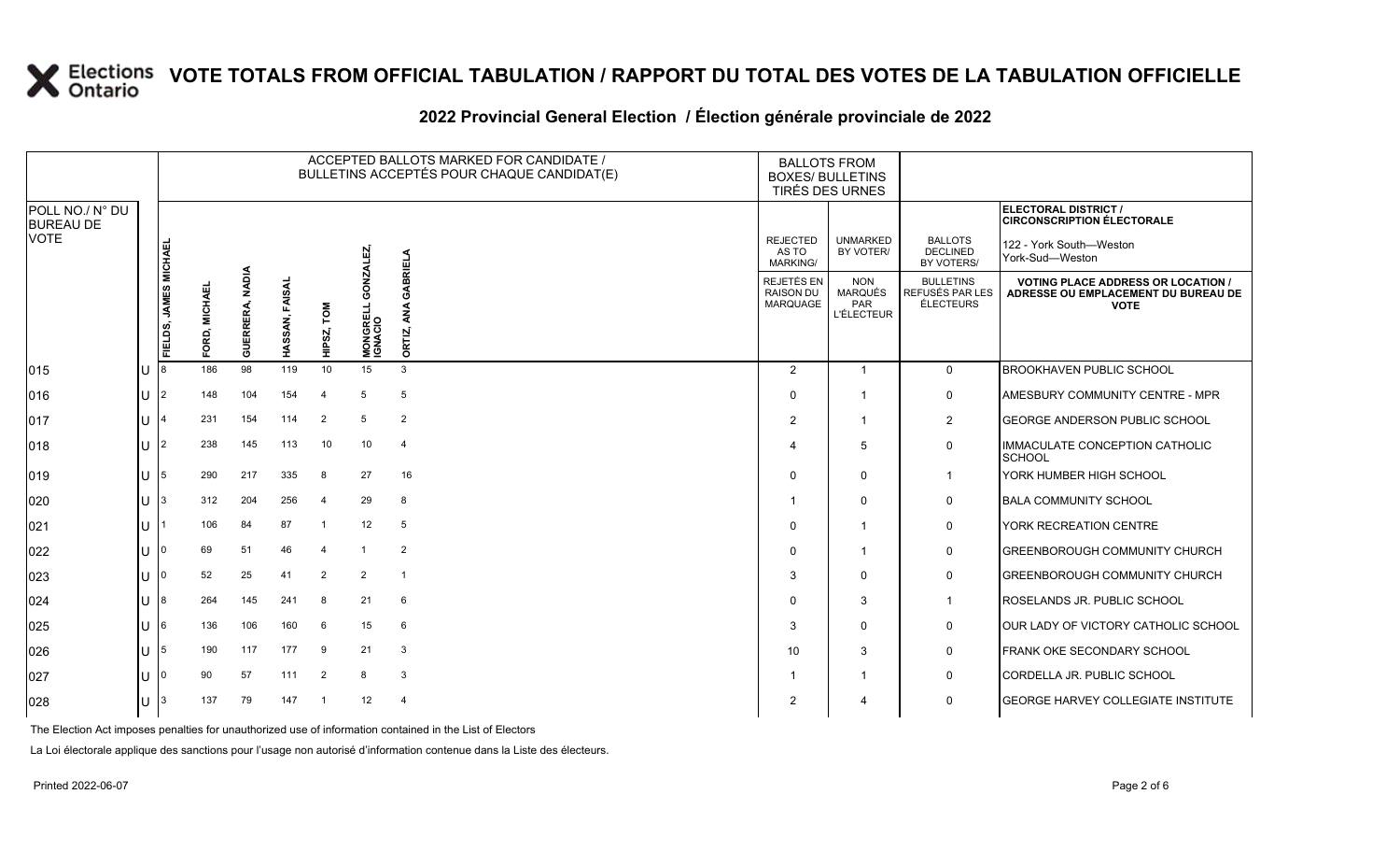#### **2022 Provincial General Election / Élection générale provinciale de 2022**

|                                     |    | ACCEPTED BALLOTS MARKED FOR CANDIDATE /<br>BULLETINS ACCEPTÉS POUR CHAQUE CANDIDAT(E) |                    |                           |                   |                      |                                 |                | <b>BOXES/ BULLETINS</b>                                  | <b>BALLOTS FROM</b><br>TIRÉS DES URNES                   |                                                  |                                                                                                 |
|-------------------------------------|----|---------------------------------------------------------------------------------------|--------------------|---------------------------|-------------------|----------------------|---------------------------------|----------------|----------------------------------------------------------|----------------------------------------------------------|--------------------------------------------------|-------------------------------------------------------------------------------------------------|
| POLL NO./ N° DU<br><b>BUREAU DE</b> |    |                                                                                       |                    |                           |                   |                      |                                 |                |                                                          |                                                          |                                                  | ELECTORAL DISTRICT /<br><b>CIRCONSCRIPTION ÉLECTORALE</b>                                       |
| <b>VOTE</b>                         |    |                                                                                       |                    |                           |                   |                      |                                 | <b>BRIELA</b>  | <b>REJECTED</b><br>AS TO<br><b>MARKING/</b>              | <b>UNMARKED</b><br>BY VOTER/                             | <b>BALLOTS</b><br><b>DECLINED</b><br>BY VOTERS/  | 122 - York South-Weston<br>York-Sud-Weston                                                      |
|                                     |    | FIELDS, JAMES MICHAEI                                                                 | D, MICHAEL<br>FORI | <b>NADIA</b><br>GUERRERA, | FAISAL<br>HASSAN, | <b>NOL</b><br>HIPSZ, | Ō<br><b>MONGRELL</b><br>IGNACIO | ORTIZ,         | <b>REJETÉS EN</b><br><b>RAISON DU</b><br><b>MARQUAGE</b> | <b>NON</b><br><b>MARQUÉS</b><br>PAR<br><b>L'ÉLECTEUR</b> | <b>BULLETINS</b><br>REFUSÉS PAR LES<br>ÉLECTEURS | <b>VOTING PLACE ADDRESS OR LOCATION /</b><br>ADRESSE OU EMPLACEMENT DU BUREAU DE<br><b>VOTE</b> |
| $ 015\rangle$                       | ΙU |                                                                                       | 186                | 98                        | 119               | 10 <sup>1</sup>      | 15                              | 3              | $\overline{2}$                                           | $\overline{1}$                                           | $\mathbf 0$                                      | <b>BROOKHAVEN PUBLIC SCHOOL</b>                                                                 |
| 016                                 | lu | $\overline{2}$                                                                        | 148                | 104                       | 154               | $\overline{4}$       | -5                              | 5              | 0                                                        |                                                          | $\mathbf 0$                                      | <b>AMESBURY COMMUNITY CENTRE - MPR</b>                                                          |
| 017                                 | IП | 4                                                                                     | 231                | 154                       | 114               | $\overline{2}$       | -5                              | $\overline{2}$ | 2                                                        | -1                                                       | $\overline{2}$                                   | <b>GEORGE ANDERSON PUBLIC SCHOOL</b>                                                            |
| $ 018\rangle$                       | IП | $\overline{2}$                                                                        | 238                | 145                       | 113               | 10                   | 10                              | $\overline{4}$ | 4                                                        | 5                                                        | $\mathsf{O}$                                     | IMMACULATE CONCEPTION CATHOLIC<br><b>SCHOOL</b>                                                 |
| $ 019\rangle$                       | IП | 5                                                                                     | 290                | 217                       | 335               | 8                    | 27                              | 16             | $\Omega$                                                 | $\Omega$                                                 | $\mathbf{1}$                                     | YORK HUMBER HIGH SCHOOL                                                                         |
| 020                                 | Iп |                                                                                       | 312                | 204                       | 256               | $\overline{4}$       | 29                              | 8              |                                                          | $\Omega$                                                 | 0                                                | <b>BALA COMMUNITY SCHOOL</b>                                                                    |
| 021                                 | lu |                                                                                       | 106                | 84                        | 87                |                      | 12                              | 5              | $\Omega$                                                 | -1                                                       | 0                                                | YORK RECREATION CENTRE                                                                          |
| 022                                 | lυ |                                                                                       | 69                 | 51                        | 46                | 4                    |                                 | $\overline{2}$ | $\Omega$                                                 |                                                          | $\mathbf 0$                                      | <b>GREENBOROUGH COMMUNITY CHURCH</b>                                                            |
| 023                                 | IН |                                                                                       | 52                 | 25                        | 41                | $\overline{2}$       | 2                               | -1             | 3                                                        | $\Omega$                                                 | $\mathbf 0$                                      | <b>GREENBOROUGH COMMUNITY CHURCH</b>                                                            |
| 024                                 | IП |                                                                                       | 264                | 145                       | 241               | 8                    | 21                              | 6              | $\Omega$                                                 | 3                                                        | $\mathbf{1}$                                     | ROSELANDS JR. PUBLIC SCHOOL                                                                     |
| 025                                 | IП | 6                                                                                     | 136                | 106                       | 160               | 6                    | 15                              | 6              | 3                                                        | $\Omega$                                                 | $\mathbf 0$                                      | OUR LADY OF VICTORY CATHOLIC SCHOOL                                                             |
| 026                                 | IП | 5                                                                                     | 190                | 117                       | 177               | - 9                  | 21                              | 3              | 10                                                       | 3                                                        | 0                                                | FRANK OKE SECONDARY SCHOOL                                                                      |
| 027                                 | IП |                                                                                       | 90                 | 57                        | 111               | $\overline{2}$       | 8                               | 3              |                                                          | -1                                                       | $\mathbf 0$                                      | CORDELLA JR. PUBLIC SCHOOL                                                                      |
| 028                                 | ΙU |                                                                                       | 137                | 79                        | 147               |                      | 12                              | $\overline{4}$ | 2                                                        | 4                                                        | $\mathbf 0$                                      | <b>GEORGE HARVEY COLLEGIATE INSTITUTE</b>                                                       |

The Election Act imposes penalties for unauthorized use of information contained in the List of Electors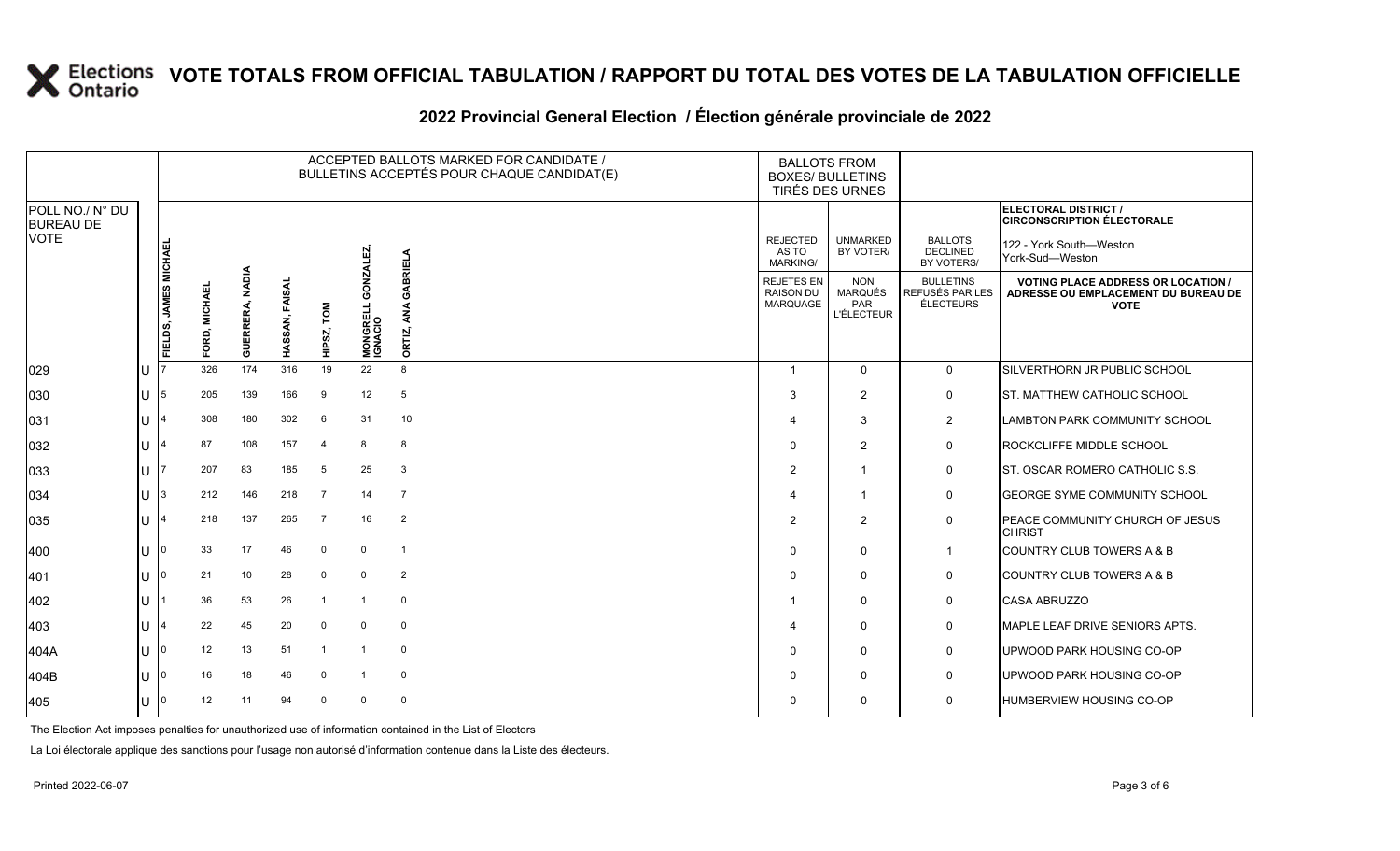#### **2022 Provincial General Election / Élection générale provinciale de 2022**

|                                     |     | ACCEPTED BALLOTS MARKED FOR CANDIDATE /<br>BULLETINS ACCEPTÉS POUR CHAQUE CANDIDAT(E) |               |                           |                |                |                                        |                         | <b>BALLOTS FROM</b><br><b>BOXES/ BULLETINS</b><br>TIRÉS DES URNES |                                                          |                                                  |                                                                                                 |
|-------------------------------------|-----|---------------------------------------------------------------------------------------|---------------|---------------------------|----------------|----------------|----------------------------------------|-------------------------|-------------------------------------------------------------------|----------------------------------------------------------|--------------------------------------------------|-------------------------------------------------------------------------------------------------|
| POLL NO./ N° DU<br><b>BUREAU DE</b> |     |                                                                                       |               |                           |                |                |                                        |                         |                                                                   |                                                          |                                                  | ELECTORAL DISTRICT /<br><b>CIRCONSCRIPTION ÉLECTORALE</b>                                       |
| <b>VOTE</b>                         |     |                                                                                       |               |                           |                |                |                                        |                         | <b>REJECTED</b><br>AS TO<br><b>MARKING/</b>                       | <b>UNMARKED</b><br>BY VOTER/                             | <b>BALLOTS</b><br><b>DECLINED</b><br>BY VOTERS/  | 122 - York South-Weston<br>York-Sud-Weston                                                      |
|                                     |     | FIELDS, JAMES MICHAEL                                                                 | FORD, MICHAEL | <b>NADIA</b><br>GUERRERA, | HASSAN, FAISAI | NOT<br>HIPSZ,  | GONZALEZ<br><b>MONGRELL</b><br>IGNACIO | GABRIELA<br>इ<br>ORTIZ, | REJETÉS EN<br><b>RAISON DU</b><br><b>MARQUAGE</b>                 | <b>NON</b><br><b>MARQUÉS</b><br>PAR<br><b>L'ÉLECTEUR</b> | <b>BULLETINS</b><br>REFUSÉS PAR LES<br>ÉLECTEURS | <b>VOTING PLACE ADDRESS OR LOCATION /</b><br>ADRESSE OU EMPLACEMENT DU BUREAU DE<br><b>VOTE</b> |
| 029                                 | IU  |                                                                                       | 326           | 174                       | 316            | 19             | 22                                     | 8                       | $\overline{\mathbf{1}}$                                           | $\Omega$                                                 | $\mathbf{0}$                                     | SILVERTHORN JR PUBLIC SCHOOL                                                                    |
| 030                                 | lU  | 5                                                                                     | 205           | 139                       | 166            | 9              | 12                                     | 5                       | 3                                                                 | $\overline{2}$                                           | $\mathbf 0$                                      | ST. MATTHEW CATHOLIC SCHOOL                                                                     |
| 031                                 | ΙU  | 4                                                                                     | 308           | 180                       | 302            | 6              | 31                                     | 10                      | $\boldsymbol{4}$                                                  | 3                                                        | $\overline{2}$                                   | LAMBTON PARK COMMUNITY SCHOOL                                                                   |
| 032                                 | lu  | $\overline{\mathbf{A}}$                                                               | 87            | 108                       | 157            | $\overline{a}$ | 8                                      | 8                       | $\mathbf 0$                                                       | $\overline{2}$                                           | 0                                                | ROCKCLIFFE MIDDLE SCHOOL                                                                        |
| 033                                 | IП  |                                                                                       | 207           | 83                        | 185            | 5              | 25                                     | 3                       | $\overline{2}$                                                    | -1                                                       | 0                                                | <b>ST. OSCAR ROMERO CATHOLIC S.S.</b>                                                           |
| $ 034\rangle$                       | lu- | 3                                                                                     | 212           | 146                       | 218            | $\overline{7}$ | 14                                     | $\overline{7}$          | $\Delta$                                                          | 1                                                        | $\mathsf{O}$                                     | <b>GEORGE SYME COMMUNITY SCHOOL</b>                                                             |
| 035                                 | lU  | $\overline{4}$                                                                        | 218           | 137                       | 265            | - 7            | 16                                     | $\overline{2}$          | $\overline{2}$                                                    | $\overline{2}$                                           | 0                                                | PEACE COMMUNITY CHURCH OF JESUS<br><b>CHRIST</b>                                                |
| 400                                 | lu  | 0                                                                                     | 33            | 17                        | 46             | $\mathbf 0$    | $\mathbf 0$                            | $\overline{1}$          | $\Omega$                                                          | $\Omega$                                                 | $\mathbf 1$                                      | <b>COUNTRY CLUB TOWERS A &amp; B</b>                                                            |
| 401                                 | ΙU  | 0                                                                                     | 21            | 10                        | 28             | $\mathbf 0$    | $\Omega$                               | $\overline{2}$          | $\mathbf 0$                                                       | $\Omega$                                                 | 0                                                | <b>COUNTRY CLUB TOWERS A &amp; B</b>                                                            |
| 402                                 | ΠT  |                                                                                       | 36            | 53                        | 26             | $\mathbf{1}$   | -1                                     | $\mathbf 0$             |                                                                   | $\Omega$                                                 | 0                                                | <b>CASA ABRUZZO</b>                                                                             |
| 403                                 | ΙU  | $\overline{4}$                                                                        | 22            | 45                        | 20             | $\overline{0}$ | $\Omega$                               | $\mathbf 0$             | $\boldsymbol{\Delta}$                                             | $\Omega$                                                 | 0                                                | MAPLE LEAF DRIVE SENIORS APTS.                                                                  |
| 404A                                | lu- | $\Omega$                                                                              | 12            | 13                        | 51             | -1             |                                        | $\mathbf 0$             | $\Omega$                                                          | $\Omega$                                                 | 0                                                | UPWOOD PARK HOUSING CO-OP                                                                       |
| 404B                                | lu- | $\Omega$                                                                              | 16            | 18                        | 46             | $\Omega$       | -1                                     | $\mathbf 0$             | $\Omega$                                                          | $\Omega$                                                 | 0                                                | UPWOOD PARK HOUSING CO-OP                                                                       |
| 405                                 | IU. |                                                                                       | 12            | 11                        | 94             | $\Omega$       | $\Omega$                               | $\mathbf 0$             | $\Omega$                                                          | 0                                                        | 0                                                | HUMBERVIEW HOUSING CO-OP                                                                        |

The Election Act imposes penalties for unauthorized use of information contained in the List of Electors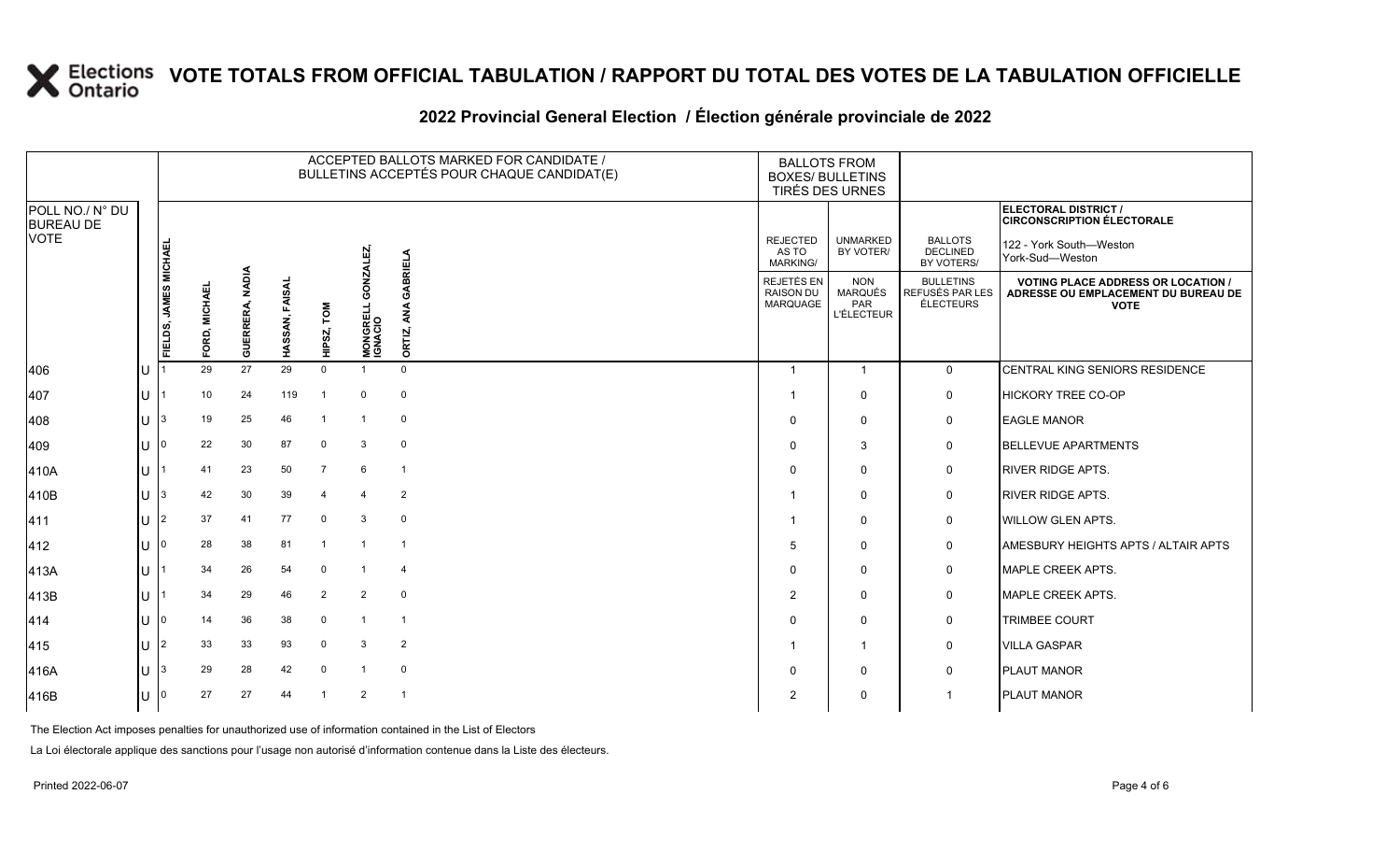#### **2022 Provincial General Election / Élection générale provinciale de 2022**

|                                     |      | ACCEPTED BALLOTS MARKED FOR CANDIDATE /<br>BULLETINS ACCEPTÉS POUR CHAQUE CANDIDAT(E) |               |                                  |                   |                |                    |                | <b>BALLOTS FROM</b><br><b>BOXES/ BULLETINS</b><br>TIRÉS DES URNES |                                                          |                                                  |                                                                                                 |
|-------------------------------------|------|---------------------------------------------------------------------------------------|---------------|----------------------------------|-------------------|----------------|--------------------|----------------|-------------------------------------------------------------------|----------------------------------------------------------|--------------------------------------------------|-------------------------------------------------------------------------------------------------|
| POLL NO./ N° DU<br><b>BUREAU DE</b> |      |                                                                                       |               |                                  |                   |                |                    |                |                                                                   |                                                          |                                                  | <b>ELECTORAL DISTRICT /</b><br><b>CIRCONSCRIPTION ÉLECTORALE</b>                                |
| <b>VOTE</b>                         |      |                                                                                       |               |                                  |                   |                | ΓĘ                 | ABRIELA        | <b>REJECTED</b><br>AS TO<br>MARKING/                              | <b>UNMARKED</b><br>BY VOTER/                             | <b>BALLOTS</b><br><b>DECLINED</b><br>BY VOTERS/  | 122 - York South-Weston<br>York-Sud-Weston                                                      |
|                                     |      | FIELDS, JAMES MICHAE                                                                  | FORD, MICHAEL | <b>NADIA</b><br><b>GUERRERA,</b> | FAISAL<br>HASSAN, | Σō1<br>HIPSZ,  | GONZAI<br>MONGRELL | ø<br>ORTIZ,    | REJETÉS EN<br><b>RAISON DU</b><br>MARQUAGE                        | <b>NON</b><br>MARQUÉS<br><b>PAR</b><br><b>L'ÉLECTEUR</b> | <b>BULLETINS</b><br>REFUSÉS PAR LES<br>ÉLECTEURS | <b>VOTING PLACE ADDRESS OR LOCATION /</b><br>ADRESSE OU EMPLACEMENT DU BUREAU DE<br><b>VOTE</b> |
| 406                                 | U    |                                                                                       | 29            | 27                               | 29                | $\mathbf 0$    |                    | $\mathbf 0$    | -1                                                                | $\mathbf{1}$                                             | $\mathbf 0$                                      | CENTRAL KING SENIORS RESIDENCE                                                                  |
| 407                                 | U    |                                                                                       | 10            | 24                               | 119               |                | $\Omega$           | $\mathbf 0$    |                                                                   | 0                                                        | 0                                                | HICKORY TREE CO-OP                                                                              |
| 408                                 | U    | 3                                                                                     | 19            | 25                               | 46                |                |                    | 0              | $\Omega$                                                          | $\Omega$                                                 | 0                                                | <b>EAGLE MANOR</b>                                                                              |
| 409                                 | U    | 10                                                                                    | 22            | 30                               | 87                | 0              | 3                  | 0              | $\Omega$                                                          | 3                                                        | 0                                                | <b>BELLEVUE APARTMENTS</b>                                                                      |
| 410A                                | U    |                                                                                       | 41            | 23                               | 50                | $\overline{7}$ | 6                  | $\mathbf{1}$   | $\Omega$                                                          | $\mathbf 0$                                              | 0                                                | <b>RIVER RIDGE APTS.</b>                                                                        |
| 410B                                | U    | 3                                                                                     | 42            | 30                               | 39                | $\overline{4}$ | $\overline{4}$     | $\overline{2}$ |                                                                   | $\mathbf 0$                                              | $\mathbf 0$                                      | <b>RIVER RIDGE APTS.</b>                                                                        |
| 411                                 | U 12 |                                                                                       | 37            | 41                               | 77                | $\mathbf 0$    | 3                  | $\mathbf 0$    | -1                                                                | $\Omega$                                                 | $\mathbf 0$                                      | <b>WILLOW GLEN APTS.</b>                                                                        |
| 412                                 | U    | $\overline{0}$                                                                        | 28            | 38                               | 81                | -1             |                    | $\overline{1}$ | 5                                                                 | $\Omega$                                                 | 0                                                | AMESBURY HEIGHTS APTS / ALTAIR APTS                                                             |
| 413A                                | U    |                                                                                       | 34            | 26                               | 54                | 0              |                    | $\overline{4}$ | $\Omega$                                                          | $\Omega$                                                 | 0                                                | MAPLE CREEK APTS.                                                                               |
| 413B                                | U    |                                                                                       | 34            | 29                               | 46                | $\overline{2}$ | 2                  | $\mathbf 0$    | $\overline{2}$                                                    | 0                                                        | 0                                                | <b>MAPLE CREEK APTS.</b>                                                                        |
| 414                                 | U    | 10                                                                                    | 14            | 36                               | 38                | $\mathbf 0$    | -1                 | $\overline{1}$ | $\Omega$                                                          | $\mathbf 0$                                              | 0                                                | <b>TRIMBEE COURT</b>                                                                            |
| 415                                 | U    | $\overline{2}$                                                                        | 33            | 33                               | 93                | $\mathbf 0$    | 3                  | $\overline{2}$ |                                                                   | $\overline{1}$                                           | 0                                                | <b>VILLA GASPAR</b>                                                                             |
| 416A                                | U    | 13                                                                                    | 29            | 28                               | 42                | 0              | -1                 | $\mathbf 0$    | $\Omega$                                                          | 0                                                        | 0                                                | <b>PLAUT MANOR</b>                                                                              |
| 416B                                | U    | 0                                                                                     | 27            | 27                               | 44                |                | $\overline{2}$     | $\overline{1}$ | $\overline{2}$                                                    | $\Omega$                                                 | $\mathbf 1$                                      | <b>PLAUT MANOR</b>                                                                              |

The Election Act imposes penalties for unauthorized use of information contained in the List of Electors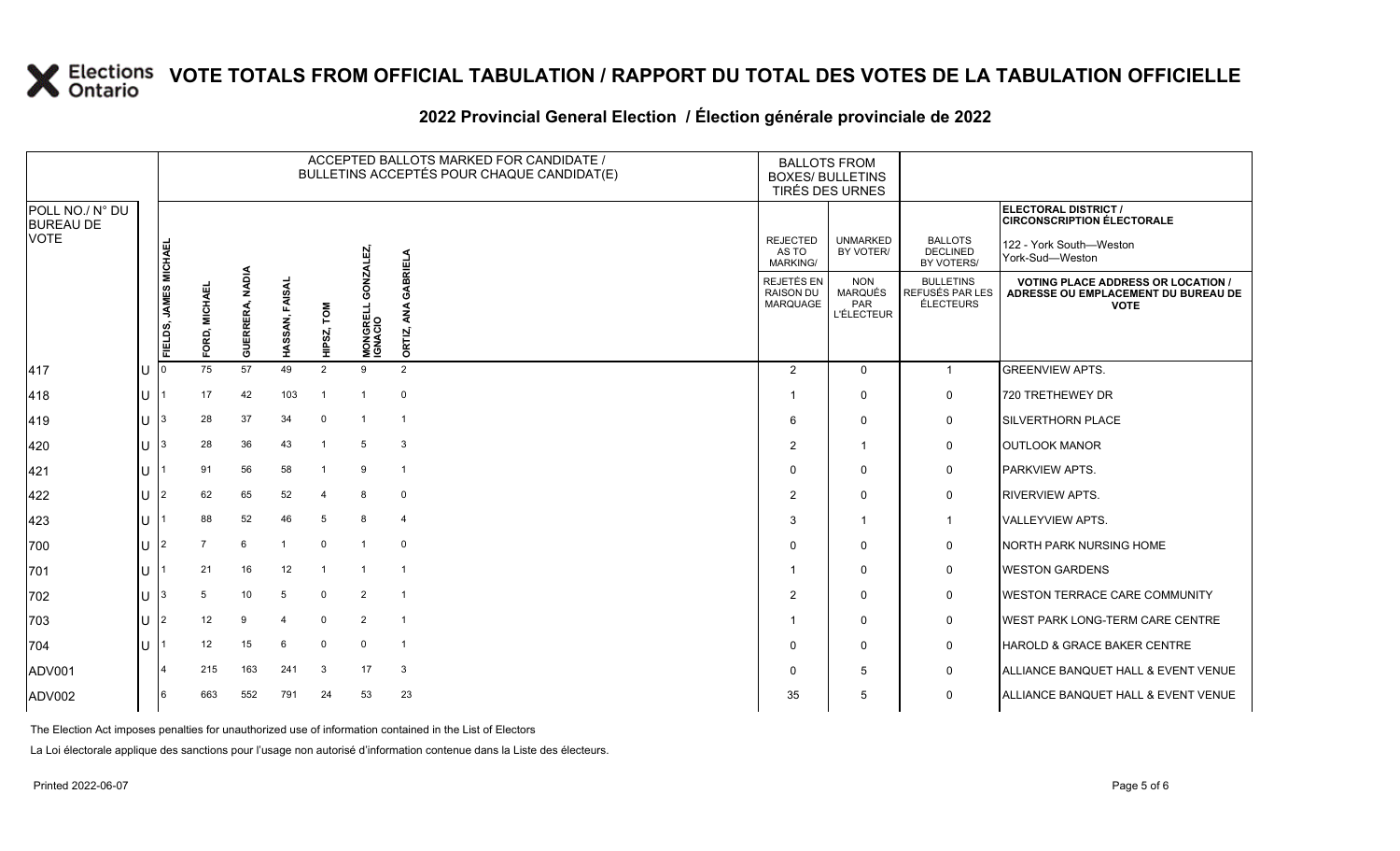#### **2022 Provincial General Election / Élection générale provinciale de 2022**

|                                     |    | ACCEPTED BALLOTS MARKED FOR CANDIDATE /<br>BULLETINS ACCEPTÉS POUR CHAQUE CANDIDAT(E) |               |                           |                   |                |                            |                | <b>BALLOTS FROM</b><br><b>BOXES/ BULLETINS</b>    | TIRÉS DES URNES                                          |                                                  |                                                                                               |
|-------------------------------------|----|---------------------------------------------------------------------------------------|---------------|---------------------------|-------------------|----------------|----------------------------|----------------|---------------------------------------------------|----------------------------------------------------------|--------------------------------------------------|-----------------------------------------------------------------------------------------------|
| POLL NO./ N° DU<br><b>BUREAU DE</b> |    |                                                                                       |               |                           |                   |                |                            |                |                                                   |                                                          |                                                  | ELECTORAL DISTRICT /<br><b>CIRCONSCRIPTION ÉLECTORALE</b>                                     |
| <b>VOTE</b>                         |    |                                                                                       |               |                           |                   |                | Ŋ                          | <b>BRIELA</b>  | <b>REJECTED</b><br>AS TO<br>MARKING/              | <b>UNMARKED</b><br>BY VOTER/                             | <b>BALLOTS</b><br><b>DECLINED</b><br>BY VOTERS/  | 122 - York South-Weston<br>York-Sud-Weston                                                    |
|                                     |    | FIELDS, JAMES MICHAEL                                                                 | FORD, MICHAEL | <b>NADIA</b><br>GUERRERA, | FAISAL<br>HASSAN, | NOT<br>HIPSZ,  | <b>MONGRELL</b><br>IGNACIO | ORTIZ,         | <b>REJETÉS EN</b><br><b>RAISON DU</b><br>MARQUAGE | <b>NON</b><br><b>MARQUÉS</b><br>PAR<br><b>L'ÉLECTEUR</b> | <b>BULLETINS</b><br>REFUSÉS PAR LES<br>ÉLECTEURS | <b>VOTING PLACE ADDRESS OR LOCATION</b><br>ADRESSE OU EMPLACEMENT DU BUREAU DE<br><b>VOTE</b> |
| 417                                 | U  |                                                                                       | 75            | 57                        | 49                | $\overline{2}$ | 9                          | $\overline{2}$ | $\overline{2}$                                    | $\mathbf{0}$                                             | $\mathbf{1}$                                     | <b>GREENVIEW APTS.</b>                                                                        |
| 418                                 | lu |                                                                                       | 17            | 42                        | 103               | -1             | -1                         | $\mathbf 0$    |                                                   | 0                                                        | 0                                                | 720 TRETHEWEY DR                                                                              |
| 419                                 | U  | 3                                                                                     | 28            | 37                        | 34                | $\mathbf 0$    | -1                         | $\overline{1}$ | 6                                                 | $\Omega$                                                 | 0                                                | SILVERTHORN PLACE                                                                             |
| 420                                 | U  | 3                                                                                     | 28            | 36                        | 43                | -1             | -5                         | 3              | 2                                                 | $\mathbf 1$                                              | 0                                                | <b>OUTLOOK MANOR</b>                                                                          |
| 421                                 | U  |                                                                                       | 91            | 56                        | 58                | $\overline{1}$ | 9                          | $\mathbf{1}$   | $\Omega$                                          | $\mathbf 0$                                              | 0                                                | PARKVIEW APTS.                                                                                |
| 422                                 | U  | $\overline{2}$                                                                        | 62            | 65                        | 52                | $\overline{4}$ | 8                          | $\mathbf 0$    | 2                                                 | $\Omega$                                                 | 0                                                | <b>RIVERVIEW APTS.</b>                                                                        |
| 423                                 | ΠT |                                                                                       | 88            | 52                        | 46                | 5              | 8                          | $\overline{4}$ | 3                                                 | -1                                                       | $\mathbf{1}$                                     | <b>VALLEYVIEW APTS.</b>                                                                       |
| 700                                 | ΠT | $\overline{2}$                                                                        |               | 6                         | -1                | $\mathbf 0$    | $\overline{1}$             | $\mathbf 0$    | $\Omega$                                          | $\Omega$                                                 | 0                                                | <b>NORTH PARK NURSING HOME</b>                                                                |
| 701                                 | ΠT |                                                                                       | 21            | 16                        | 12                |                |                            | -1             |                                                   | $\Omega$                                                 | 0                                                | <b>WESTON GARDENS</b>                                                                         |
| 702                                 | IП | 3                                                                                     | 5             | 10                        | 5                 | $\mathbf 0$    | 2                          | $\overline{1}$ | $\overline{2}$                                    | $\Omega$                                                 | 0                                                | WESTON TERRACE CARE COMMUNITY                                                                 |
| 703                                 | U  | 2                                                                                     | 12            | 9                         | 4                 | $\mathbf 0$    | 2                          | $\mathbf{1}$   |                                                   | $\mathbf 0$                                              | 0                                                | WEST PARK LONG-TERM CARE CENTRE                                                               |
| 704                                 | ΠT |                                                                                       | 12            | 15                        | 6                 | 0              | 0                          | $\overline{1}$ | $\Omega$                                          | $\Omega$                                                 | 0                                                | HAROLD & GRACE BAKER CENTRE                                                                   |
| ADV001                              |    |                                                                                       | 215           | 163                       | 241               | 3              | 17                         | 3              | $\Omega$                                          | 5                                                        | 0                                                | ALLIANCE BANQUET HALL & EVENT VENUE                                                           |
| ADV002                              |    | 6                                                                                     | 663           | 552                       | 791               | 24             | 53                         | 23             | 35                                                | 5                                                        | $\mathbf 0$                                      | ALLIANCE BANQUET HALL & EVENT VENUE                                                           |

The Election Act imposes penalties for unauthorized use of information contained in the List of Electors